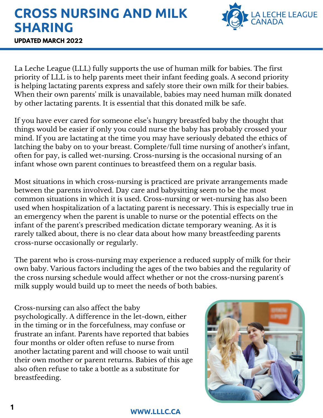## **CROSS NURSING AND MILK SHARING**



**UPDATED MARCH 2022**

La Leche League (LLL) fully supports the use of human milk for babies. The first priority of LLL is to help parents meet their infant feeding goals. A second priority is helping lactating parents express and safely store their own milk for their babies. When their own parents' milk is unavailable, babies may need human milk donated by other lactating parents. It is essential that this donated milk be safe.

If you have ever cared for someone else's hungry breastfed baby the thought that things would be easier if only you could nurse the baby has probably crossed your mind. If you are lactating at the time you may have seriously debated the ethics of latching the baby on to your breast. Complete/full time nursing of another's infant, often for pay, is called wet-nursing. Cross-nursing is the occasional nursing of an infant whose own parent continues to breastfeed them on a regular basis.

Most situations in which cross-nursing is practiced are private arrangements made between the parents involved. Day care and babysitting seem to be the most common situations in which it is used. Cross-nursing or wet-nursing has also been used when hospitalization of a lactating parent is necessary. This is especially true in an emergency when the parent is unable to nurse or the potential effects on the infant of the parent's prescribed medication dictate temporary weaning. As it is rarely talked about, there is no clear data about how many breastfeeding parents cross-nurse occasionally or regularly.

The parent who is cross-nursing may experience a reduced supply of milk for their own baby. Various factors including the ages of the two babies and the regularity of the cross nursing schedule would affect whether or not the cross-nursing parent's milk supply would build up to meet the needs of both babies.

Cross-nursing can also affect the baby psychologically. A difference in the let-down, either in the timing or in the forcefulness, may confuse or frustrate an infant. Parents have reported that babies four months or older often refuse to nurse from another lactating parent and will choose to wait until their own mother or parent returns. Babies of this age also often refuse to take a bottle as a substitute for breastfeeding.

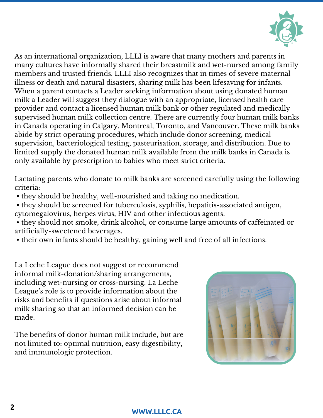

As an international organization, LLLI is aware that many mothers and parents in many cultures have informally shared their breastmilk and wet-nursed among family members and trusted friends. LLLI also recognizes that in times of severe maternal illness or death and natural disasters, sharing milk has been lifesaving for infants. When a parent contacts a Leader seeking information about using donated human milk a Leader will suggest they dialogue with an appropriate, licensed health care provider and contact a licensed human milk bank or other regulated and medically supervised human milk collection centre. There are currently four human milk banks in Canada operating in Calgary, Montreal, Toronto, and Vancouver. These milk banks abide by strict operating procedures, which include donor screening, medical supervision, bacteriological testing, pasteurisation, storage, and distribution. Due to limited supply the donated human milk available from the milk banks in Canada is only available by prescription to babies who meet strict criteria.

Lactating parents who donate to milk banks are screened carefully using the following criteria:

- they should be healthy, well-nourished and taking no medication.
- they should be screened for tuberculosis, syphilis, hepatitis-associated antigen, cytomegalovirus, herpes virus, HIV and other infectious agents.
- they should not smoke, drink alcohol, or consume large amounts of caffeinated or artificially-sweetened beverages.
- their own infants should be healthy, gaining well and free of all infections.

La Leche League does not suggest or recommend informal milk-donation/sharing arrangements, including wet-nursing or cross-nursing. La Leche League's role is to provide information about the risks and benefits if questions arise about informal milk sharing so that an informed decision can be made.

The benefits of donor human milk include, but are not limited to: optimal nutrition, easy digestibility, and immunologic protection.



## **<sup>2</sup> WWW.LLLC.CA**